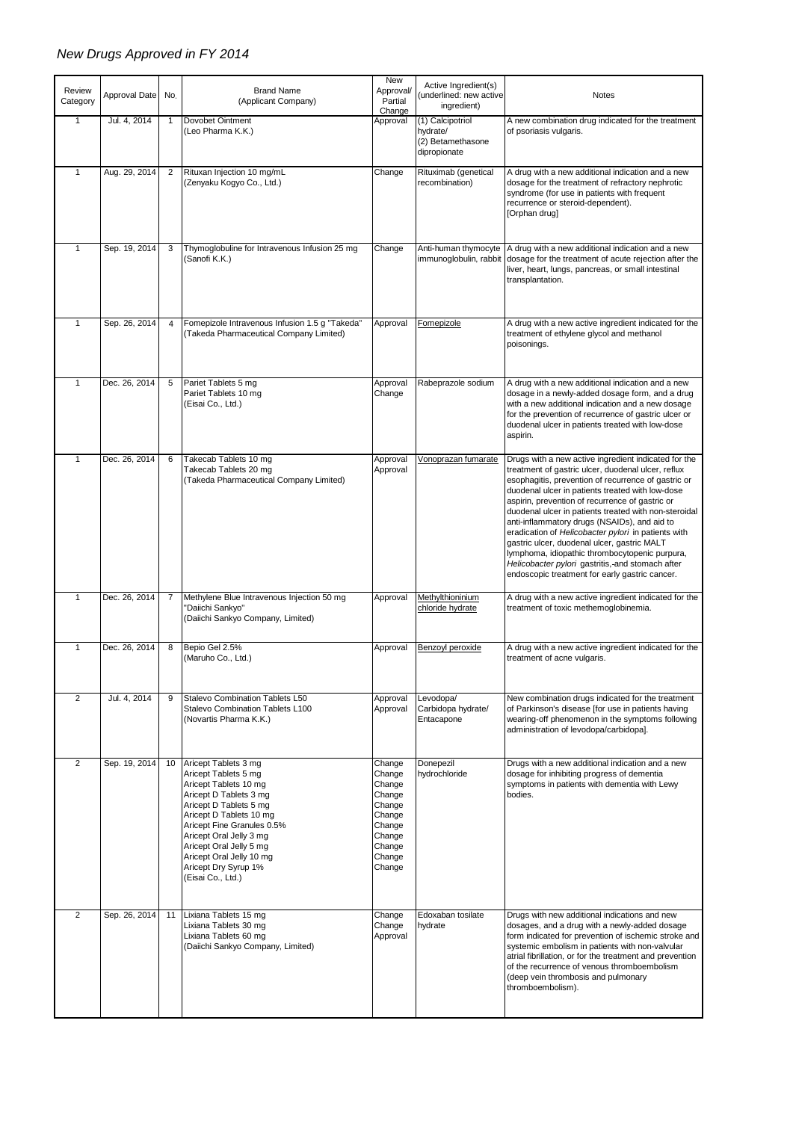## *New Drugs Approved in FY 2014*

| Review<br>Category | Approval Date | No.            | <b>Brand Name</b><br>(Applicant Company)                                                                                                                                                                                                                                                                          | New<br>Approval/<br>Partial<br>Change                                                                      | Active Ingredient(s)<br>underlined: new active<br>ingredient)     | <b>Notes</b>                                                                                                                                                                                                                                                                                                                                                                                                                                                                                                                                                                                                                                    |
|--------------------|---------------|----------------|-------------------------------------------------------------------------------------------------------------------------------------------------------------------------------------------------------------------------------------------------------------------------------------------------------------------|------------------------------------------------------------------------------------------------------------|-------------------------------------------------------------------|-------------------------------------------------------------------------------------------------------------------------------------------------------------------------------------------------------------------------------------------------------------------------------------------------------------------------------------------------------------------------------------------------------------------------------------------------------------------------------------------------------------------------------------------------------------------------------------------------------------------------------------------------|
| 1                  | Jul. 4, 2014  | 1              | Dovobet Ointment<br>(Leo Pharma K.K.)                                                                                                                                                                                                                                                                             | Approval                                                                                                   | (1) Calcipotriol<br>hydrate/<br>(2) Betamethasone<br>dipropionate | A new combination drug indicated for the treatment<br>of psoriasis vulgaris.                                                                                                                                                                                                                                                                                                                                                                                                                                                                                                                                                                    |
| $\mathbf{1}$       | Aug. 29, 2014 | 2              | Rituxan Injection 10 mg/mL<br>(Zenyaku Kogyo Co., Ltd.)                                                                                                                                                                                                                                                           | Change                                                                                                     | Rituximab (genetical<br>recombination)                            | A drug with a new additional indication and a new<br>dosage for the treatment of refractory nephrotic<br>syndrome (for use in patients with frequent<br>recurrence or steroid-dependent).<br>[Orphan drug]                                                                                                                                                                                                                                                                                                                                                                                                                                      |
| $\mathbf{1}$       | Sep. 19, 2014 | 3              | Thymoglobuline for Intravenous Infusion 25 mg<br>(Sanofi K.K.)                                                                                                                                                                                                                                                    | Change                                                                                                     | Anti-human thymocyte                                              | A drug with a new additional indication and a new<br>immunoglobulin, rabbit dosage for the treatment of acute rejection after the<br>liver, heart, lungs, pancreas, or small intestinal<br>transplantation.                                                                                                                                                                                                                                                                                                                                                                                                                                     |
| $\mathbf{1}$       | Sep. 26, 2014 | $\overline{4}$ | Fomepizole Intravenous Infusion 1.5 g "Takeda"<br>(Takeda Pharmaceutical Company Limited)                                                                                                                                                                                                                         | Approval                                                                                                   | Fomepizole                                                        | A drug with a new active ingredient indicated for the<br>treatment of ethylene glycol and methanol<br>poisonings.                                                                                                                                                                                                                                                                                                                                                                                                                                                                                                                               |
| $\mathbf{1}$       | Dec. 26, 2014 | 5              | Pariet Tablets 5 mg<br>Pariet Tablets 10 mg<br>(Eisai Co., Ltd.)                                                                                                                                                                                                                                                  | Approval<br>Change                                                                                         | Rabeprazole sodium                                                | A drug with a new additional indication and a new<br>dosage in a newly-added dosage form, and a drug<br>with a new additional indication and a new dosage<br>for the prevention of recurrence of gastric ulcer or<br>duodenal ulcer in patients treated with low-dose<br>aspirin.                                                                                                                                                                                                                                                                                                                                                               |
| $\mathbf{1}$       | Dec. 26, 2014 | 6              | Takecab Tablets 10 mg<br>Takecab Tablets 20 mg<br>(Takeda Pharmaceutical Company Limited)                                                                                                                                                                                                                         | Approval<br>Approval                                                                                       | Vonoprazan fumarate                                               | Drugs with a new active ingredient indicated for the<br>treatment of gastric ulcer, duodenal ulcer, reflux<br>esophagitis, prevention of recurrence of gastric or<br>duodenal ulcer in patients treated with low-dose<br>aspirin, prevention of recurrence of gastric or<br>duodenal ulcer in patients treated with non-steroidal<br>anti-inflammatory drugs (NSAIDs), and aid to<br>eradication of Helicobacter pylori in patients with<br>gastric ulcer, duodenal ulcer, gastric MALT<br>lymphoma, idiopathic thrombocytopenic purpura,<br>Helicobacter pylori gastritis,-and stomach after<br>endoscopic treatment for early gastric cancer. |
| $\mathbf{1}$       | Dec. 26, 2014 | 7              | Methylene Blue Intravenous Injection 50 mg<br>'Daiichi Sankyo"<br>(Daiichi Sankyo Company, Limited)                                                                                                                                                                                                               | Approval                                                                                                   | Methylthioninium<br>chloride hydrate                              | A drug with a new active ingredient indicated for the<br>treatment of toxic methemoglobinemia.                                                                                                                                                                                                                                                                                                                                                                                                                                                                                                                                                  |
| $\mathbf{1}$       | Dec. 26, 2014 | 8              | Bepio Gel 2.5%<br>(Maruho Co., Ltd.)                                                                                                                                                                                                                                                                              | Approval                                                                                                   | Benzovl peroxide                                                  | A drug with a new active ingredient indicated for the<br>treatment of acne vulgaris.                                                                                                                                                                                                                                                                                                                                                                                                                                                                                                                                                            |
| $\overline{2}$     | Jul. 4, 2014  | 9              | Stalevo Combination Tablets L50<br>Stalevo Combination Tablets L100<br>(Novartis Pharma K.K.)                                                                                                                                                                                                                     | Approval<br>Approval                                                                                       | Levodopa/<br>Carbidopa hydrate/<br>Entacapone                     | New combination drugs indicated for the treatment<br>of Parkinson's disease [for use in patients having<br>wearing-off phenomenon in the symptoms following<br>administration of levodopa/carbidopa].                                                                                                                                                                                                                                                                                                                                                                                                                                           |
| $\overline{2}$     | Sep. 19, 2014 | 10             | Aricept Tablets 3 mg<br>Aricept Tablets 5 mg<br>Aricept Tablets 10 mg<br>Aricept D Tablets 3 mg<br>Aricept D Tablets 5 mg<br>Aricept D Tablets 10 mg<br>Aricept Fine Granules 0.5%<br>Aricept Oral Jelly 3 mg<br>Aricept Oral Jelly 5 mg<br>Aricept Oral Jelly 10 mg<br>Aricept Dry Syrup 1%<br>(Eisai Co., Ltd.) | Change<br>Change<br>Change<br>Change<br>Change<br>Change<br>Change<br>Change<br>Change<br>Change<br>Change | Donepezil<br>hydrochloride                                        | Drugs with a new additional indication and a new<br>dosage for inhibiting progress of dementia<br>symptoms in patients with dementia with Lewy<br>bodies.                                                                                                                                                                                                                                                                                                                                                                                                                                                                                       |
| $\overline{2}$     | Sep. 26, 2014 | 11             | Lixiana Tablets 15 mg<br>Lixiana Tablets 30 mg<br>Lixiana Tablets 60 mg<br>(Daiichi Sankyo Company, Limited)                                                                                                                                                                                                      | Change<br>Change<br>Approval                                                                               | Edoxaban tosilate<br>hydrate                                      | Drugs with new additional indications and new<br>dosages, and a drug with a newly-added dosage<br>form indicated for prevention of ischemic stroke and<br>systemic embolism in patients with non-valvular<br>atrial fibrillation, or for the treatment and prevention<br>of the recurrence of venous thromboembolism<br>(deep vein thrombosis and pulmonary<br>thromboembolism).                                                                                                                                                                                                                                                                |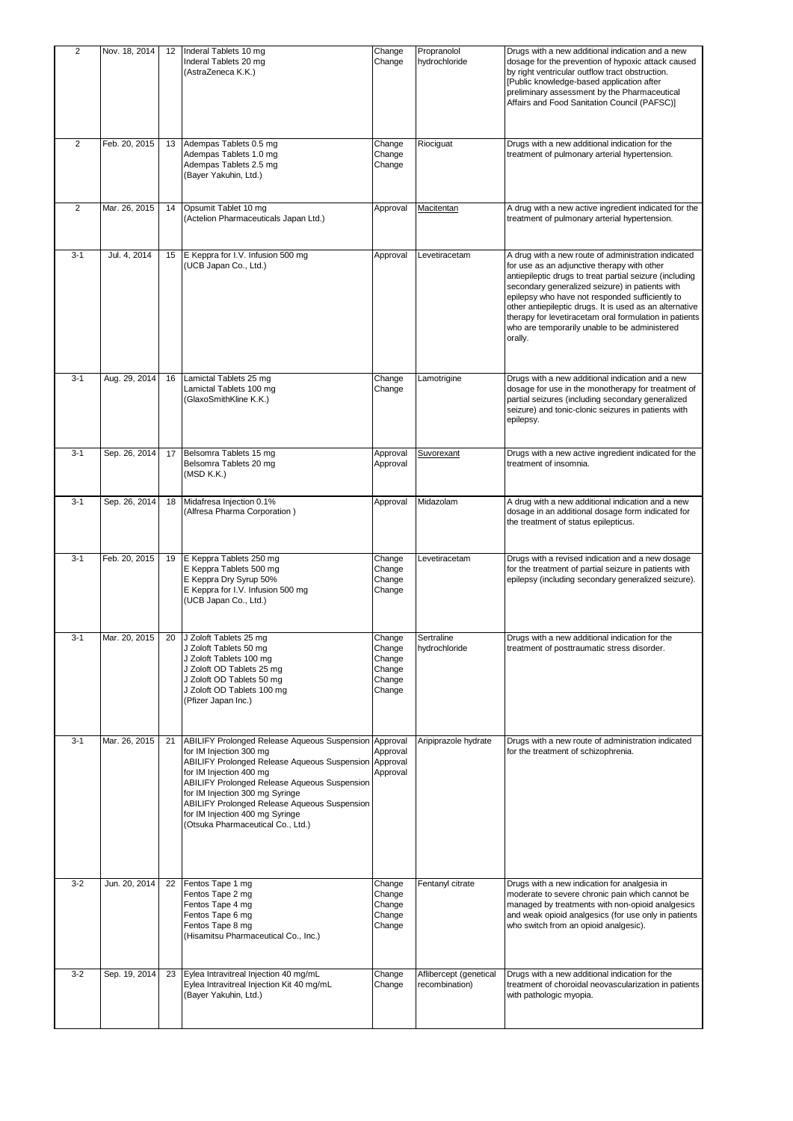| 2              | Nov. 18, 2014 |    | 12 Inderal Tablets 10 mg<br>Inderal Tablets 20 mg<br>(AstraZeneca K.K.)                                                                                                                                                                                                                                                                                                       | Change<br>Change                                         | Propranolol<br>hydrochloride             | Drugs with a new additional indication and a new<br>dosage for the prevention of hypoxic attack caused<br>by right ventricular outflow tract obstruction.<br>[Public knowledge-based application after<br>preliminary assessment by the Pharmaceutical<br>Affairs and Food Sanitation Council (PAFSC)]                                                                                                                                               |
|----------------|---------------|----|-------------------------------------------------------------------------------------------------------------------------------------------------------------------------------------------------------------------------------------------------------------------------------------------------------------------------------------------------------------------------------|----------------------------------------------------------|------------------------------------------|------------------------------------------------------------------------------------------------------------------------------------------------------------------------------------------------------------------------------------------------------------------------------------------------------------------------------------------------------------------------------------------------------------------------------------------------------|
| $\overline{2}$ | Feb. 20, 2015 | 13 | Adempas Tablets 0.5 mg<br>Adempas Tablets 1.0 mg<br>Adempas Tablets 2.5 mg<br>(Bayer Yakuhin, Ltd.)                                                                                                                                                                                                                                                                           | Change<br>Change<br>Change                               | Riociquat                                | Drugs with a new additional indication for the<br>treatment of pulmonary arterial hypertension.                                                                                                                                                                                                                                                                                                                                                      |
| $\overline{2}$ | Mar. 26, 2015 | 14 | Opsumit Tablet 10 mg<br>(Actelion Pharmaceuticals Japan Ltd.)                                                                                                                                                                                                                                                                                                                 | Approval                                                 | Macitentan                               | A drug with a new active ingredient indicated for the<br>treatment of pulmonary arterial hypertension.                                                                                                                                                                                                                                                                                                                                               |
| $3 - 1$        | Jul. 4, 2014  | 15 | E Keppra for I.V. Infusion 500 mg<br>(UCB Japan Co., Ltd.)                                                                                                                                                                                                                                                                                                                    | Approval                                                 | Levetiracetam                            | A drug with a new route of administration indicated<br>for use as an adjunctive therapy with other<br>antiepileptic drugs to treat partial seizure (including<br>secondary generalized seizure) in patients with<br>epilepsy who have not responded sufficiently to<br>other antiepileptic drugs. It is used as an alternative<br>therapy for levetiracetam oral formulation in patients<br>who are temporarily unable to be administered<br>orally. |
| $3 - 1$        | Aug. 29, 2014 | 16 | Lamictal Tablets 25 mg<br>Lamictal Tablets 100 mg<br>(GlaxoSmithKline K.K.)                                                                                                                                                                                                                                                                                                   | Change<br>Change                                         | Lamotrigine                              | Drugs with a new additional indication and a new<br>dosage for use in the monotherapy for treatment of<br>partial seizures (including secondary generalized<br>seizure) and tonic-clonic seizures in patients with<br>epilepsy.                                                                                                                                                                                                                      |
| $3 - 1$        | Sep. 26, 2014 | 17 | Belsomra Tablets 15 mg<br>Belsomra Tablets 20 mg<br>(MSD K.K.)                                                                                                                                                                                                                                                                                                                | Approval<br>Approval                                     | Suvorexant                               | Drugs with a new active ingredient indicated for the<br>treatment of insomnia.                                                                                                                                                                                                                                                                                                                                                                       |
| $3 - 1$        | Sep. 26, 2014 | 18 | Midafresa Injection 0.1%<br>(Alfresa Pharma Corporation)                                                                                                                                                                                                                                                                                                                      | Approval                                                 | Midazolam                                | A drug with a new additional indication and a new<br>dosage in an additional dosage form indicated for<br>the treatment of status epilepticus.                                                                                                                                                                                                                                                                                                       |
| $3 - 1$        | Feb. 20, 2015 | 19 | E Keppra Tablets 250 mg<br>E Keppra Tablets 500 mg<br>E Keppra Dry Syrup 50%<br>E Keppra for I.V. Infusion 500 mg<br>(UCB Japan Co., Ltd.)                                                                                                                                                                                                                                    | Change<br>Change<br>Change<br>Change                     | Levetiracetam                            | Drugs with a revised indication and a new dosage<br>for the treatment of partial seizure in patients with<br>epilepsy (including secondary generalized seizure).                                                                                                                                                                                                                                                                                     |
| $3 - 1$        | Mar. 20, 2015 |    | 20 J Zoloft Tablets 25 mg<br>J Zoloft Tablets 50 mg<br>J Zoloft Tablets 100 mg<br>J Zoloft OD Tablets 25 mg<br>J Zoloft OD Tablets 50 mg<br>J Zoloft OD Tablets 100 mg<br>(Pfizer Japan Inc.)                                                                                                                                                                                 | Change<br>Change<br>Change<br>Change<br>Change<br>Change | Sertraline<br>hydrochloride              | Drugs with a new additional indication for the<br>treatment of posttraumatic stress disorder.                                                                                                                                                                                                                                                                                                                                                        |
| $3 - 1$        | Mar. 26, 2015 | 21 | ABILIFY Prolonged Release Aqueous Suspension<br>for IM Injection 300 mg<br>ABILIFY Prolonged Release Aqueous Suspension Approval<br>for IM Injection 400 mg<br><b>ABILIFY Prolonged Release Aqueous Suspension</b><br>for IM Injection 300 mg Syringe<br>ABILIFY Prolonged Release Aqueous Suspension<br>for IM Injection 400 mg Syringe<br>(Otsuka Pharmaceutical Co., Ltd.) | Approval<br>Approval<br>Approval                         | Aripiprazole hydrate                     | Drugs with a new route of administration indicated<br>for the treatment of schizophrenia.                                                                                                                                                                                                                                                                                                                                                            |
| $3 - 2$        | Jun. 20, 2014 | 22 | Fentos Tape 1 mg<br>Fentos Tape 2 mg<br>Fentos Tape 4 mg<br>Fentos Tape 6 mg<br>Fentos Tape 8 mg<br>(Hisamitsu Pharmaceutical Co., Inc.)                                                                                                                                                                                                                                      | Change<br>Change<br>Change<br>Change<br>Change           | Fentanyl citrate                         | Drugs with a new indication for analgesia in<br>moderate to severe chronic pain which cannot be<br>managed by treatments with non-opioid analgesics<br>and weak opioid analgesics (for use only in patients<br>who switch from an opioid analgesic).                                                                                                                                                                                                 |
| $3 - 2$        | Sep. 19, 2014 | 23 | Eylea Intravitreal Injection 40 mg/mL<br>Eylea Intravitreal Injection Kit 40 mg/mL<br>(Bayer Yakuhin, Ltd.)                                                                                                                                                                                                                                                                   | Change<br>Change                                         | Aflibercept (genetical<br>recombination) | Drugs with a new additional indication for the<br>treatment of choroidal neovascularization in patients<br>with pathologic myopia.                                                                                                                                                                                                                                                                                                                   |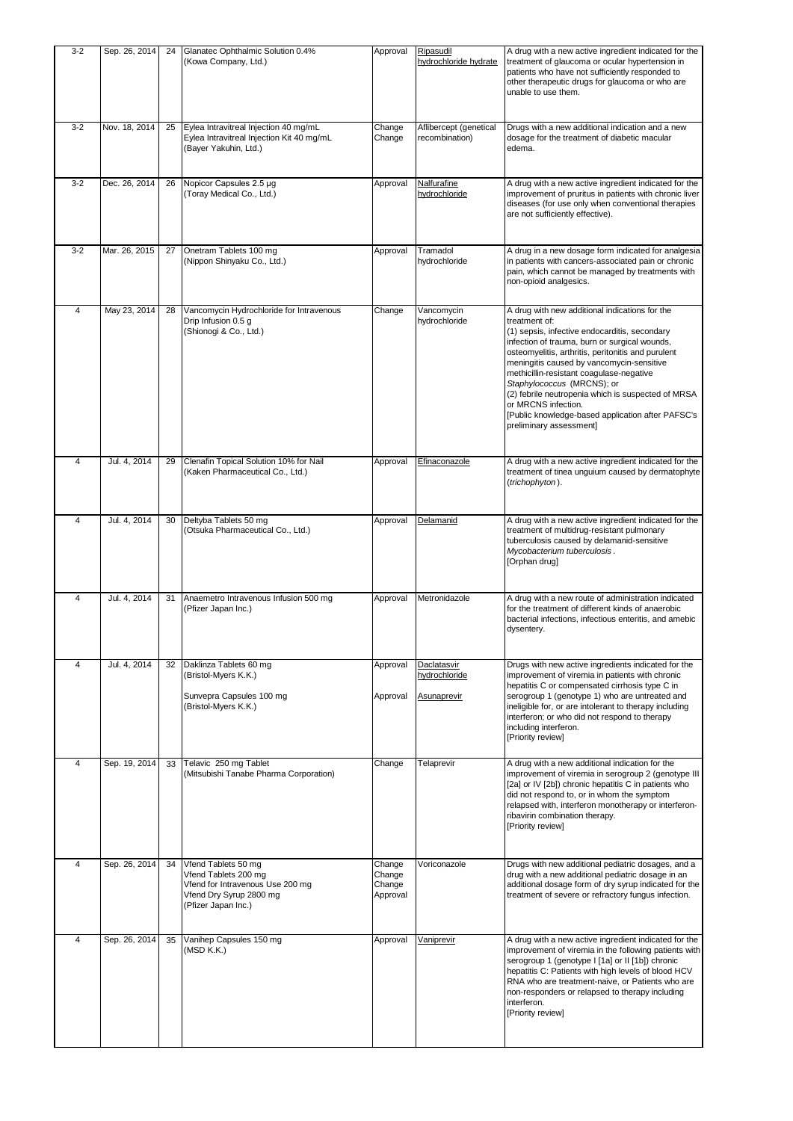| $3 - 2$        | Sep. 26, 2014 | 24 | Glanatec Ophthalmic Solution 0.4%<br>(Kowa Company, Ltd.)                                                                         | Approval                               | Ripasudil<br>hydrochloride hydrate       | A drug with a new active ingredient indicated for the<br>treatment of glaucoma or ocular hypertension in<br>patients who have not sufficiently responded to<br>other therapeutic drugs for glaucoma or who are<br>unable to use them.                                                                                                                                                                                                                                                                       |
|----------------|---------------|----|-----------------------------------------------------------------------------------------------------------------------------------|----------------------------------------|------------------------------------------|-------------------------------------------------------------------------------------------------------------------------------------------------------------------------------------------------------------------------------------------------------------------------------------------------------------------------------------------------------------------------------------------------------------------------------------------------------------------------------------------------------------|
| $3-2$          | Nov. 18, 2014 | 25 | Eylea Intravitreal Injection 40 mg/mL<br>Eylea Intravitreal Injection Kit 40 mg/mL<br>(Bayer Yakuhin, Ltd.)                       | Change<br>Change                       | Aflibercept (genetical<br>recombination) | Drugs with a new additional indication and a new<br>dosage for the treatment of diabetic macular<br>edema.                                                                                                                                                                                                                                                                                                                                                                                                  |
| $3-2$          | Dec. 26, 2014 | 26 | Nopicor Capsules 2.5 µg<br>(Toray Medical Co., Ltd.)                                                                              | Approval                               | Nalfurafine<br>hydrochloride             | A drug with a new active ingredient indicated for the<br>improvement of pruritus in patients with chronic liver<br>diseases (for use only when conventional therapies<br>are not sufficiently effective).                                                                                                                                                                                                                                                                                                   |
| $3-2$          | Mar. 26, 2015 | 27 | Onetram Tablets 100 mg<br>(Nippon Shinyaku Co., Ltd.)                                                                             | Approval                               | Tramadol<br>hydrochloride                | A drug in a new dosage form indicated for analgesia<br>in patients with cancers-associated pain or chronic<br>pain, which cannot be managed by treatments with<br>non-opioid analgesics.                                                                                                                                                                                                                                                                                                                    |
| $\overline{4}$ | May 23, 2014  | 28 | Vancomycin Hydrochloride for Intravenous<br>Drip Infusion 0.5 g<br>(Shionogi & Co., Ltd.)                                         | Change                                 | Vancomycin<br>hydrochloride              | A drug with new additional indications for the<br>treatment of:<br>(1) sepsis, infective endocarditis, secondary<br>infection of trauma, burn or surgical wounds,<br>osteomyelitis, arthritis, peritonitis and purulent<br>meningitis caused by vancomycin-sensitive<br>methicillin-resistant coagulase-negative<br>Staphylococcus (MRCNS); or<br>(2) febrile neutropenia which is suspected of MRSA<br>or MRCNS infection.<br>[Public knowledge-based application after PAFSC's<br>preliminary assessment] |
| $\overline{4}$ | Jul. 4, 2014  | 29 | Clenafin Topical Solution 10% for Nail<br>(Kaken Pharmaceutical Co., Ltd.)                                                        | Approval                               | Efinaconazole                            | A drug with a new active ingredient indicated for the<br>treatment of tinea unguium caused by dermatophyte<br>(trichophyton).                                                                                                                                                                                                                                                                                                                                                                               |
| $\overline{4}$ | Jul. 4, 2014  | 30 | Deltyba Tablets 50 mg<br>(Otsuka Pharmaceutical Co., Ltd.)                                                                        | Approval                               | <b>Delamanid</b>                         | A drug with a new active ingredient indicated for the<br>treatment of multidrug-resistant pulmonary<br>tuberculosis caused by delamanid-sensitive<br>Mycobacterium tuberculosis.<br>[Orphan drug]                                                                                                                                                                                                                                                                                                           |
| $\overline{4}$ | Jul. 4, 2014  | 31 | Anaemetro Intravenous Infusion 500 mg<br>(Pfizer Japan Inc.)                                                                      | Approval                               | Metronidazole                            | A drug with a new route of administration indicated<br>for the treatment of different kinds of anaerobic<br>bacterial infections, infectious enteritis, and amebic<br>dysentery.                                                                                                                                                                                                                                                                                                                            |
| 4              | Jul. 4, 2014  | 32 | Daklinza Tablets 60 mg<br>(Bristol-Myers K.K.)                                                                                    | Approval                               | Daclatasvir<br>hydrochloride             | Drugs with new active ingredients indicated for the<br>improvement of viremia in patients with chronic                                                                                                                                                                                                                                                                                                                                                                                                      |
|                |               |    | Sunvepra Capsules 100 mg<br>(Bristol-Myers K.K.)                                                                                  | Approval                               | Asunaprevir                              | hepatitis C or compensated cirrhosis type C in<br>serogroup 1 (genotype 1) who are untreated and<br>ineligible for, or are intolerant to therapy including<br>interferon; or who did not respond to therapy<br>including interferon.<br>[Priority review]                                                                                                                                                                                                                                                   |
| 4              | Sep. 19, 2014 | 33 | Telavic 250 mg Tablet<br>(Mitsubishi Tanabe Pharma Corporation)                                                                   | Change                                 | Telaprevir                               | A drug with a new additional indication for the<br>improvement of viremia in serogroup 2 (genotype III<br>[2a] or IV [2b]) chronic hepatitis C in patients who<br>did not respond to, or in whom the symptom<br>relapsed with, interferon monotherapy or interferon-<br>ribavirin combination therapy.<br>[Priority review]                                                                                                                                                                                 |
| 4              | Sep. 26, 2014 | 34 | Vfend Tablets 50 mg<br>Vfend Tablets 200 mg<br>Vfend for Intravenous Use 200 mg<br>Vfend Dry Syrup 2800 mg<br>(Pfizer Japan Inc.) | Change<br>Change<br>Change<br>Approval | Voriconazole                             | Drugs with new additional pediatric dosages, and a<br>drug with a new additional pediatric dosage in an<br>additional dosage form of dry syrup indicated for the<br>treatment of severe or refractory fungus infection.                                                                                                                                                                                                                                                                                     |
| 4              | Sep. 26, 2014 | 35 | Vanihep Capsules 150 mg<br>(MSD K.K.)                                                                                             | Approval                               | Vaniprevir                               | A drug with a new active ingredient indicated for the<br>improvement of viremia in the following patients with<br>serogroup 1 (genotype I [1a] or II [1b]) chronic<br>hepatitis C: Patients with high levels of blood HCV<br>RNA who are treatment-naive, or Patients who are<br>non-responders or relapsed to therapy including<br>interferon.<br>[Priority review]                                                                                                                                        |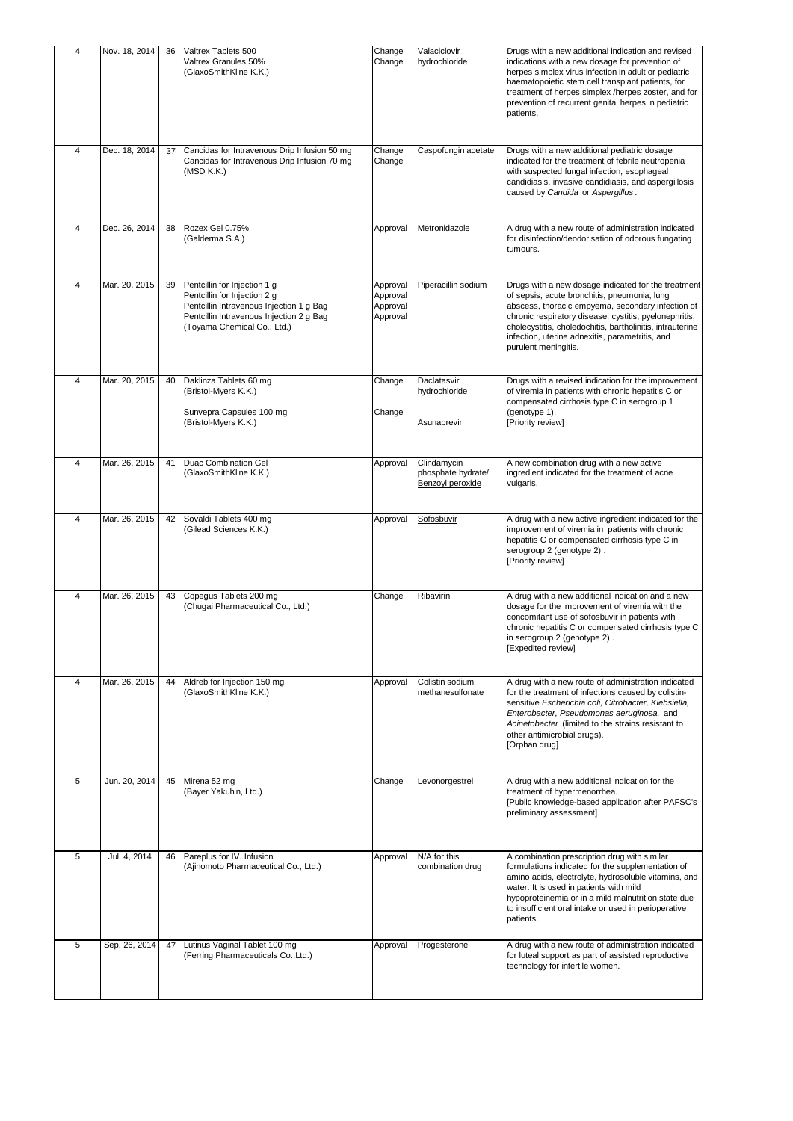| 4              | Nov. 18, 2014 | 36 | Valtrex Tablets 500<br>Valtrex Granules 50%<br>(GlaxoSmithKline K.K.)                                                                                                               | Change<br>Change                             | Valaciclovir<br>hydrochloride                         | Drugs with a new additional indication and revised<br>indications with a new dosage for prevention of<br>herpes simplex virus infection in adult or pediatric<br>haematopoietic stem cell transplant patients, for<br>treatment of herpes simplex /herpes zoster, and for<br>prevention of recurrent genital herpes in pediatric<br>patients.              |
|----------------|---------------|----|-------------------------------------------------------------------------------------------------------------------------------------------------------------------------------------|----------------------------------------------|-------------------------------------------------------|------------------------------------------------------------------------------------------------------------------------------------------------------------------------------------------------------------------------------------------------------------------------------------------------------------------------------------------------------------|
| 4              | Dec. 18, 2014 | 37 | Cancidas for Intravenous Drip Infusion 50 mg<br>Cancidas for Intravenous Drip Infusion 70 mg<br>(MSD K.K.)                                                                          | Change<br>Change                             | Caspofungin acetate                                   | Drugs with a new additional pediatric dosage<br>indicated for the treatment of febrile neutropenia<br>with suspected fungal infection, esophageal<br>candidiasis, invasive candidiasis, and aspergillosis<br>caused by Candida or Aspergillus.                                                                                                             |
| $\overline{4}$ | Dec. 26, 2014 | 38 | Rozex Gel 0.75%<br>(Galderma S.A.)                                                                                                                                                  | Approval                                     | Metronidazole                                         | A drug with a new route of administration indicated<br>for disinfection/deodorisation of odorous fungating<br>tumours.                                                                                                                                                                                                                                     |
| $\overline{4}$ | Mar. 20, 2015 | 39 | Pentcillin for Injection 1 g<br>Pentcillin for Injection 2 g<br>Pentcillin Intravenous Injection 1 g Bag<br>Pentcillin Intravenous Injection 2 g Bag<br>(Toyama Chemical Co., Ltd.) | Approval<br>Approval<br>Approval<br>Approval | Piperacillin sodium                                   | Drugs with a new dosage indicated for the treatment<br>of sepsis, acute bronchitis, pneumonia, lung<br>abscess, thoracic empyema, secondary infection of<br>chronic respiratory disease, cystitis, pyelonephritis,<br>cholecystitis, choledochitis, bartholinitis, intrauterine<br>infection, uterine adnexitis, parametritis, and<br>purulent meningitis. |
| 4              | Mar. 20, 2015 | 40 | Daklinza Tablets 60 mg<br>(Bristol-Myers K.K.)<br>Sunvepra Capsules 100 mg<br>(Bristol-Myers K.K.)                                                                                  | Change<br>Change                             | Daclatasvir<br>hydrochloride<br>Asunaprevir           | Drugs with a revised indication for the improvement<br>of viremia in patients with chronic hepatitis C or<br>compensated cirrhosis type C in serogroup 1<br>(genotype 1).<br>[Priority review]                                                                                                                                                             |
| $\overline{4}$ | Mar. 26, 2015 | 41 | Duac Combination Gel<br>(GlaxoSmithKline K.K.)                                                                                                                                      | Approval                                     | Clindamycin<br>phosphate hydrate/<br>Benzoyl peroxide | A new combination drug with a new active<br>ingredient indicated for the treatment of acne<br>vulgaris.                                                                                                                                                                                                                                                    |
| $\overline{4}$ | Mar. 26, 2015 | 42 | Sovaldi Tablets 400 mg<br>(Gilead Sciences K.K.)                                                                                                                                    | Approval                                     | Sofosbuvir                                            | A drug with a new active ingredient indicated for the<br>improvement of viremia in patients with chronic<br>hepatitis C or compensated cirrhosis type C in<br>serogroup 2 (genotype 2).<br>[Priority review]                                                                                                                                               |
| $\overline{4}$ | Mar. 26, 2015 | 43 | Copequs Tablets 200 mg<br>(Chugai Pharmaceutical Co., Ltd.)                                                                                                                         | Change                                       | Ribavirin                                             | A drug with a new additional indication and a new<br>dosage for the improvement of viremia with the<br>concomitant use of sofosbuvir in patients with<br>chronic hepatitis C or compensated cirrhosis type C<br>in serogroup 2 (genotype 2).<br>[Expedited review]                                                                                         |
| 4              | Mar. 26, 2015 | 44 | Aldreb for Injection 150 mg<br>(GlaxoSmithKline K.K.)                                                                                                                               | Approval                                     | Colistin sodium<br>methanesulfonate                   | A drug with a new route of administration indicated<br>for the treatment of infections caused by colistin-<br>sensitive Escherichia coli, Citrobacter, Klebsiella,<br>Enterobacter, Pseudomonas aeruginosa, and<br>Acinetobacter (limited to the strains resistant to<br>other antimicrobial drugs).<br>[Orphan drug]                                      |
| 5              | Jun. 20, 2014 | 45 | Mirena 52 mg<br>(Bayer Yakuhin, Ltd.)                                                                                                                                               | Change                                       | Levonorgestrel                                        | A drug with a new additional indication for the<br>treatment of hypermenorrhea.<br>[Public knowledge-based application after PAFSC's<br>preliminary assessment]                                                                                                                                                                                            |
| 5              | Jul. 4, 2014  | 46 | Pareplus for IV. Infusion<br>(Ajinomoto Pharmaceutical Co., Ltd.)                                                                                                                   | Approval                                     | N/A for this<br>combination drug                      | A combination prescription drug with similar<br>formulations indicated for the supplementation of<br>amino acids, electrolyte, hydrosoluble vitamins, and<br>water. It is used in patients with mild<br>hypoproteinemia or in a mild malnutrition state due<br>to insufficient oral intake or used in perioperative<br>patients.                           |
| 5              | Sep. 26, 2014 | 47 | Lutinus Vaginal Tablet 100 mg<br>(Ferring Pharmaceuticals Co., Ltd.)                                                                                                                | Approval                                     | Progesterone                                          | A drug with a new route of administration indicated<br>for luteal support as part of assisted reproductive<br>technology for infertile women.                                                                                                                                                                                                              |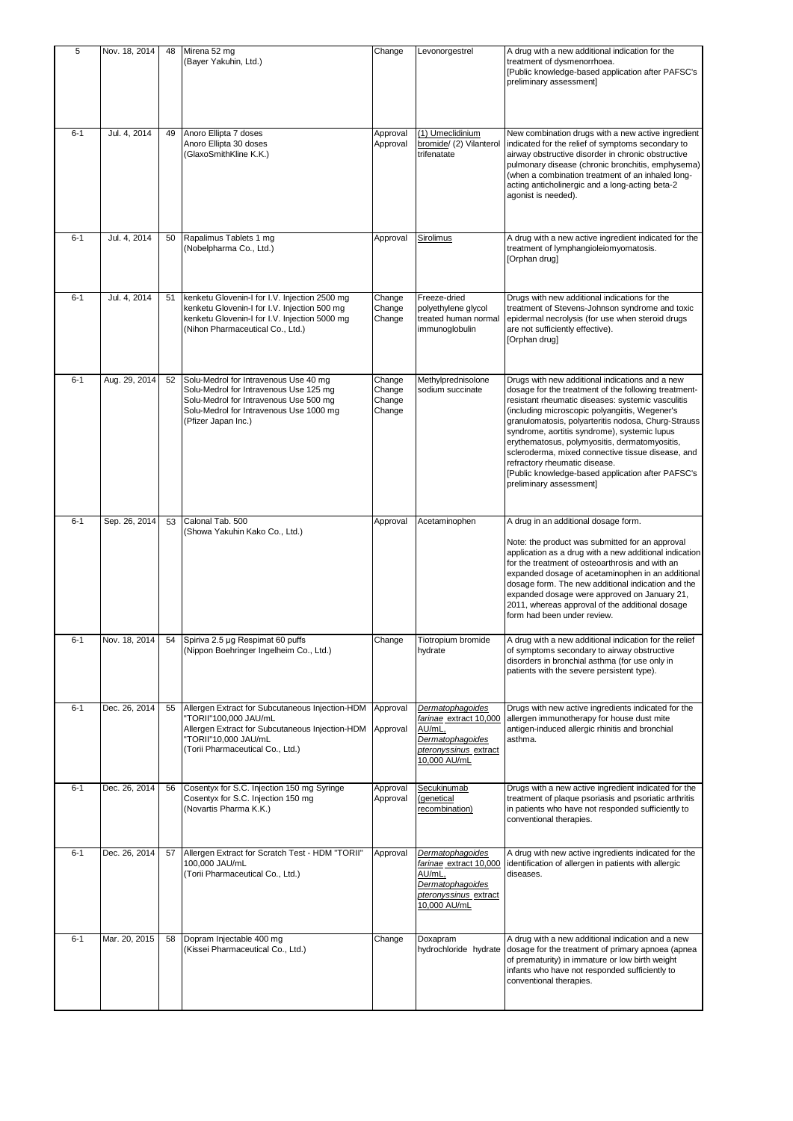| 5       | Nov. 18, 2014 | 48 | Mirena 52 mg<br>(Bayer Yakuhin, Ltd.)                                                                                                                                                       | Change                               | Levonorgestrel                                                                                                    | A drug with a new additional indication for the<br>treatment of dysmenorrhoea.<br>[Public knowledge-based application after PAFSC's<br>preliminary assessment]                                                                                                                                                                                                                                                                                                                                                                               |
|---------|---------------|----|---------------------------------------------------------------------------------------------------------------------------------------------------------------------------------------------|--------------------------------------|-------------------------------------------------------------------------------------------------------------------|----------------------------------------------------------------------------------------------------------------------------------------------------------------------------------------------------------------------------------------------------------------------------------------------------------------------------------------------------------------------------------------------------------------------------------------------------------------------------------------------------------------------------------------------|
| $6 - 1$ | Jul. 4, 2014  | 49 | Anoro Ellipta 7 doses<br>Anoro Ellipta 30 doses<br>(GlaxoSmithKline K.K.)                                                                                                                   | Approval<br>Approval                 | (1) Umeclidinium<br>bromide/ (2) Vilanterol<br>trifenatate                                                        | New combination drugs with a new active ingredient<br>indicated for the relief of symptoms secondary to<br>airway obstructive disorder in chronic obstructive<br>pulmonary disease (chronic bronchitis, emphysema)<br>(when a combination treatment of an inhaled long-<br>acting anticholinergic and a long-acting beta-2<br>agonist is needed).                                                                                                                                                                                            |
| $6 - 1$ | Jul. 4, 2014  | 50 | Rapalimus Tablets 1 mg<br>(Nobelpharma Co., Ltd.)                                                                                                                                           | Approval                             | Sirolimus                                                                                                         | A drug with a new active ingredient indicated for the<br>treatment of lymphangioleiomyomatosis.<br>[Orphan drug]                                                                                                                                                                                                                                                                                                                                                                                                                             |
| $6 - 1$ | Jul. 4, 2014  | 51 | kenketu Glovenin-I for I.V. Injection 2500 mg<br>kenketu Glovenin-I for I.V. Injection 500 mg<br>kenketu Glovenin-I for I.V. Injection 5000 mg<br>(Nihon Pharmaceutical Co., Ltd.)          | Change<br>Change<br>Change           | Freeze-dried<br>polyethylene glycol<br>treated human normal<br>immunoglobulin                                     | Drugs with new additional indications for the<br>treatment of Stevens-Johnson syndrome and toxic<br>epidermal necrolysis (for use when steroid drugs<br>are not sufficiently effective).<br>[Orphan drug]                                                                                                                                                                                                                                                                                                                                    |
| $6 - 1$ | Aug. 29, 2014 | 52 | Solu-Medrol for Intravenous Use 40 mg<br>Solu-Medrol for Intravenous Use 125 mg<br>Solu-Medrol for Intravenous Use 500 mg<br>Solu-Medrol for Intravenous Use 1000 mg<br>(Pfizer Japan Inc.) | Change<br>Change<br>Change<br>Change | Methylprednisolone<br>sodium succinate                                                                            | Drugs with new additional indications and a new<br>dosage for the treatment of the following treatment-<br>resistant rheumatic diseases: systemic vasculitis<br>(including microscopic polyangiitis, Wegener's<br>granulomatosis, polyarteritis nodosa, Churg-Strauss<br>syndrome, aortitis syndrome), systemic lupus<br>erythematosus, polymyositis, dermatomyositis,<br>scleroderma, mixed connective tissue disease, and<br>refractory rheumatic disease.<br>[Public knowledge-based application after PAFSC's<br>preliminary assessment] |
| $6 - 1$ | Sep. 26, 2014 | 53 | Calonal Tab. 500<br>(Showa Yakuhin Kako Co., Ltd.)                                                                                                                                          | Approval                             | Acetaminophen                                                                                                     | A drug in an additional dosage form.<br>Note: the product was submitted for an approval<br>application as a drug with a new additional indication<br>for the treatment of osteoarthrosis and with an<br>expanded dosage of acetaminophen in an additional<br>dosage form. The new additional indication and the<br>expanded dosage were approved on January 21,<br>2011, whereas approval of the additional dosage<br>form had been under review.                                                                                            |
| $6 - 1$ | Nov. 18, 2014 |    | 54 Spiriva 2.5 µg Respimat 60 puffs<br>(Nippon Boehringer Ingelheim Co., Ltd.)                                                                                                              | Change                               | Tiotropium bromide<br>hydrate                                                                                     | A drug with a new additional indication for the relief<br>of symptoms secondary to airway obstructive<br>disorders in bronchial asthma (for use only in<br>patients with the severe persistent type).                                                                                                                                                                                                                                                                                                                                        |
| $6 - 1$ | Dec. 26, 2014 | 55 | Allergen Extract for Subcutaneous Injection-HDM<br>"TORII"100,000 JAU/mL<br>Allergen Extract for Subcutaneous Injection-HDM<br>"TORII"10,000 JAU/mL<br>(Torii Pharmaceutical Co., Ltd.)     | Approval<br>Approval                 | Dermatophagoides<br>farinae extract 10,000<br>AU/mL,<br>Dermatophagoides<br>pteronyssinus extract<br>10,000 AU/mL | Drugs with new active ingredients indicated for the<br>allergen immunotherapy for house dust mite<br>antigen-induced allergic rhinitis and bronchial<br>asthma.                                                                                                                                                                                                                                                                                                                                                                              |
| $6 - 1$ | Dec. 26, 2014 | 56 | Cosentyx for S.C. Injection 150 mg Syringe<br>Cosentyx for S.C. Injection 150 mg<br>(Novartis Pharma K.K.)                                                                                  | Approval<br>Approval                 | Secukinumab<br>(genetical<br>recombination)                                                                       | Drugs with a new active ingredient indicated for the<br>treatment of plaque psoriasis and psoriatic arthritis<br>in patients who have not responded sufficiently to<br>conventional therapies.                                                                                                                                                                                                                                                                                                                                               |
| $6 - 1$ | Dec. 26, 2014 | 57 | Allergen Extract for Scratch Test - HDM "TORII"<br>100,000 JAU/mL<br>(Torii Pharmaceutical Co., Ltd.)                                                                                       | Approval                             | Dermatophagoides<br>farinae extract 10,000<br>AU/mL.<br>Dermatophagoides<br>pteronyssinus_extract<br>10,000 AU/mL | A drug with new active ingredients indicated for the<br>identification of allergen in patients with allergic<br>diseases.                                                                                                                                                                                                                                                                                                                                                                                                                    |
| $6 - 1$ | Mar. 20, 2015 | 58 | Dopram Injectable 400 mg<br>(Kissei Pharmaceutical Co., Ltd.)                                                                                                                               | Change                               | Doxapram<br>hydrochloride hydrate                                                                                 | A drug with a new additional indication and a new<br>dosage for the treatment of primary apnoea (apnea<br>of prematurity) in immature or low birth weight<br>infants who have not responded sufficiently to<br>conventional therapies.                                                                                                                                                                                                                                                                                                       |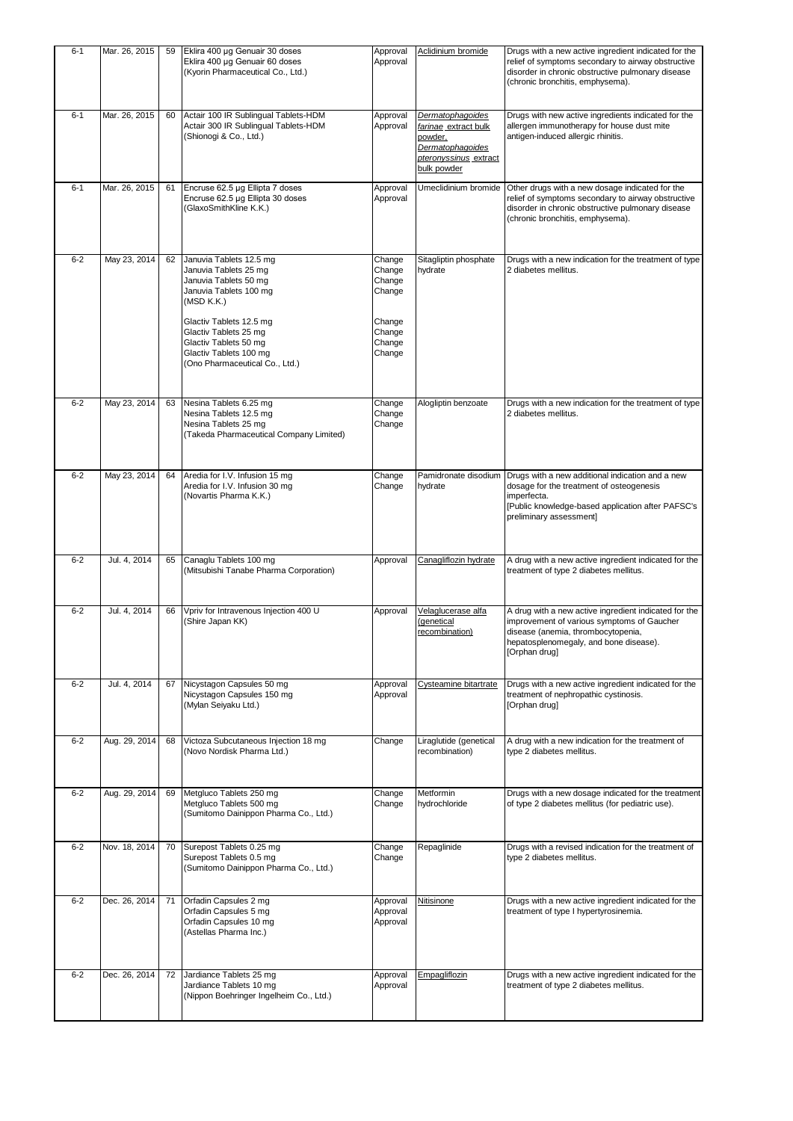| $6 - 1$ | Mar. 26, 2015 | 59 | Eklira 400 µg Genuair 30 doses<br>Eklira 400 µg Genuair 60 doses<br>(Kyorin Pharmaceutical Co., Ltd.)                                                                                                                                                      | Approval<br>Approval                                                         | Aclidinium bromide                                                                                              | Drugs with a new active ingredient indicated for the<br>relief of symptoms secondary to airway obstructive<br>disorder in chronic obstructive pulmonary disease<br>(chronic bronchitis, emphysema).  |
|---------|---------------|----|------------------------------------------------------------------------------------------------------------------------------------------------------------------------------------------------------------------------------------------------------------|------------------------------------------------------------------------------|-----------------------------------------------------------------------------------------------------------------|------------------------------------------------------------------------------------------------------------------------------------------------------------------------------------------------------|
| $6 - 1$ | Mar. 26, 2015 | 60 | Actair 100 IR Sublingual Tablets-HDM<br>Actair 300 IR Sublingual Tablets-HDM<br>(Shionogi & Co., Ltd.)                                                                                                                                                     | Approval<br>Approval                                                         | Dermatophagoides<br>farinae extract bulk<br>powder,<br>Dermatophagoides<br>pteronyssinus extract<br>bulk powder | Drugs with new active ingredients indicated for the<br>allergen immunotherapy for house dust mite<br>antigen-induced allergic rhinitis.                                                              |
| $6 - 1$ | Mar. 26, 2015 | 61 | Encruse 62.5 µg Ellipta 7 doses<br>Encruse 62.5 µg Ellipta 30 doses<br>(GlaxoSmithKline K.K.)                                                                                                                                                              | Approval<br>Approval                                                         | Umeclidinium bromide                                                                                            | Other drugs with a new dosage indicated for the<br>relief of symptoms secondary to airway obstructive<br>disorder in chronic obstructive pulmonary disease<br>(chronic bronchitis, emphysema).       |
| $6 - 2$ | May 23, 2014  | 62 | Januvia Tablets 12.5 mg<br>Januvia Tablets 25 mg<br>Januvia Tablets 50 mg<br>Januvia Tablets 100 mg<br>(MSD K.K.)<br>Glactiv Tablets 12.5 mg<br>Glactiv Tablets 25 mg<br>Glactiv Tablets 50 mg<br>Glactiv Tablets 100 mg<br>(Ono Pharmaceutical Co., Ltd.) | Change<br>Change<br>Change<br>Change<br>Change<br>Change<br>Change<br>Change | Sitagliptin phosphate<br>hydrate                                                                                | Drugs with a new indication for the treatment of type<br>2 diabetes mellitus.                                                                                                                        |
| $6 - 2$ | May 23, 2014  | 63 | Nesina Tablets 6.25 mg<br>Nesina Tablets 12.5 mg<br>Nesina Tablets 25 mg<br>(Takeda Pharmaceutical Company Limited)                                                                                                                                        | Change<br>Change<br>Change                                                   | Alogliptin benzoate                                                                                             | Drugs with a new indication for the treatment of type<br>2 diabetes mellitus.                                                                                                                        |
| $6 - 2$ | May 23, 2014  | 64 | Aredia for I.V. Infusion 15 mg<br>Aredia for I.V. Infusion 30 mg<br>(Novartis Pharma K.K.)                                                                                                                                                                 | Change<br>Change                                                             | Pamidronate disodium<br>hydrate                                                                                 | Drugs with a new additional indication and a new<br>dosage for the treatment of osteogenesis<br>imperfecta.<br>[Public knowledge-based application after PAFSC's<br>preliminary assessment]          |
| $6 - 2$ | Jul. 4, 2014  | 65 | Canaglu Tablets 100 mg<br>(Mitsubishi Tanabe Pharma Corporation)                                                                                                                                                                                           | Approval                                                                     | Canagliflozin hydrate                                                                                           | A drug with a new active ingredient indicated for the<br>treatment of type 2 diabetes mellitus.                                                                                                      |
| $6 - 2$ | Jul. 4, 2014  | 66 | Vpriv for Intravenous Injection 400 U<br>(Shire Japan KK)                                                                                                                                                                                                  | Approval                                                                     | Velaglucerase alfa<br>(genetical<br>recombination)                                                              | A drug with a new active ingredient indicated for the<br>improvement of various symptoms of Gaucher<br>disease (anemia, thrombocytopenia,<br>hepatosplenomegaly, and bone disease).<br>[Orphan drug] |
| $6 - 2$ | Jul. 4, 2014  | 67 | Nicystagon Capsules 50 mg<br>Nicystagon Capsules 150 mg<br>(Mylan Seiyaku Ltd.)                                                                                                                                                                            | Approval<br>Approval                                                         | Cysteamine bitartrate                                                                                           | Drugs with a new active ingredient indicated for the<br>treatment of nephropathic cystinosis.<br>[Orphan drug]                                                                                       |
| $6 - 2$ | Aug. 29, 2014 | 68 | Victoza Subcutaneous Injection 18 mg<br>(Novo Nordisk Pharma Ltd.)                                                                                                                                                                                         | Change                                                                       | Liraglutide (genetical<br>recombination)                                                                        | A drug with a new indication for the treatment of<br>type 2 diabetes mellitus.                                                                                                                       |
| $6 - 2$ | Aug. 29, 2014 | 69 | Metgluco Tablets 250 mg<br>Metgluco Tablets 500 mg<br>(Sumitomo Dainippon Pharma Co., Ltd.)                                                                                                                                                                | Change<br>Change                                                             | Metformin<br>hydrochloride                                                                                      | Drugs with a new dosage indicated for the treatment<br>of type 2 diabetes mellitus (for pediatric use).                                                                                              |
| $6 - 2$ | Nov. 18, 2014 | 70 | Surepost Tablets 0.25 mg<br>Surepost Tablets 0.5 mg<br>(Sumitomo Dainippon Pharma Co., Ltd.)                                                                                                                                                               | Change<br>Change                                                             | Repaglinide                                                                                                     | Drugs with a revised indication for the treatment of<br>type 2 diabetes mellitus.                                                                                                                    |
| $6 - 2$ | Dec. 26, 2014 | 71 | Orfadin Capsules 2 mg<br>Orfadin Capsules 5 mg<br>Orfadin Capsules 10 mg<br>(Astellas Pharma Inc.)                                                                                                                                                         | Approval<br>Approval<br>Approval                                             | <b>Nitisinone</b>                                                                                               | Drugs with a new active ingredient indicated for the<br>treatment of type I hypertyrosinemia.                                                                                                        |
| $6 - 2$ | Dec. 26, 2014 | 72 | Jardiance Tablets 25 mg<br>Jardiance Tablets 10 mg<br>(Nippon Boehringer Ingelheim Co., Ltd.)                                                                                                                                                              | Approval<br>Approval                                                         | Empagliflozin                                                                                                   | Drugs with a new active ingredient indicated for the<br>treatment of type 2 diabetes mellitus.                                                                                                       |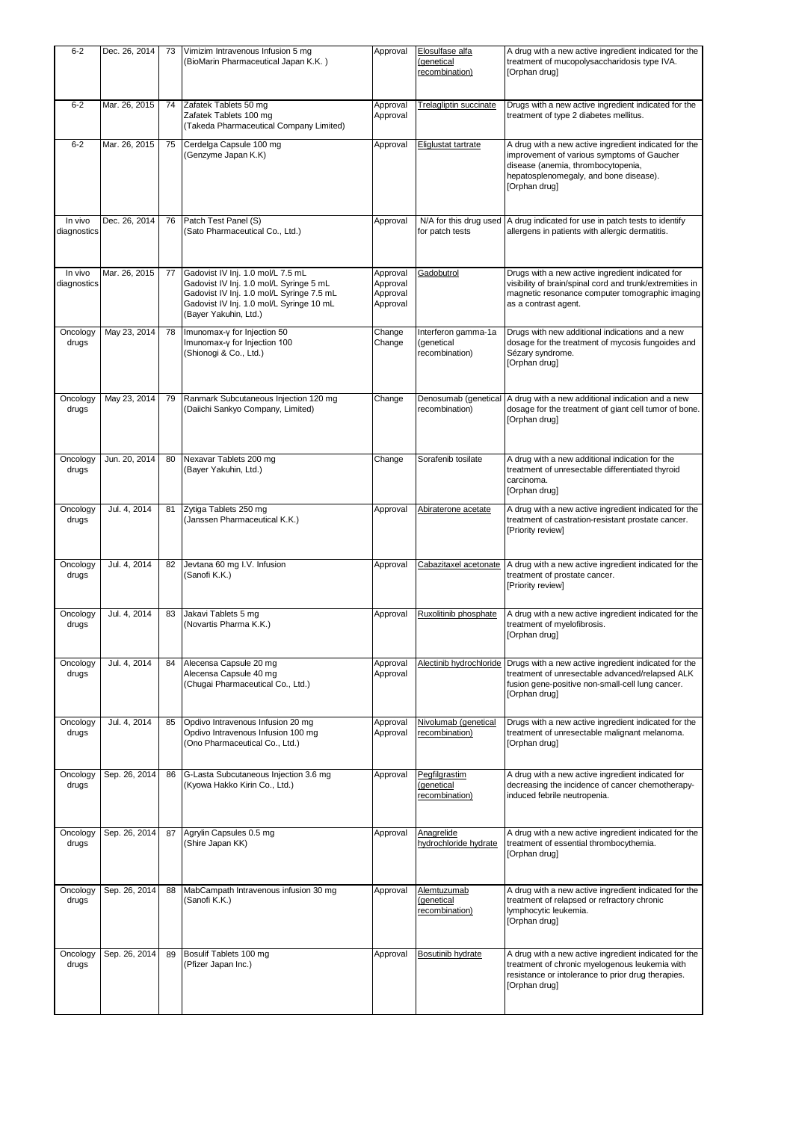| $6 - 2$                | Dec. 26, 2014 | 73 | Vimizim Intravenous Infusion 5 mg<br>(BioMarin Pharmaceutical Japan K.K.)                                                                                                                      | Approval                                     | Elosulfase alfa<br>(genetical<br>recombination)     | A drug with a new active ingredient indicated for the<br>treatment of mucopolysaccharidosis type IVA.<br>[Orphan drug]                                                                               |
|------------------------|---------------|----|------------------------------------------------------------------------------------------------------------------------------------------------------------------------------------------------|----------------------------------------------|-----------------------------------------------------|------------------------------------------------------------------------------------------------------------------------------------------------------------------------------------------------------|
| $6 - 2$                | Mar. 26, 2015 | 74 | Zafatek Tablets 50 mg<br>Zafatek Tablets 100 mg<br>(Takeda Pharmaceutical Company Limited)                                                                                                     | Approval<br>Approval                         | <b>Trelagliptin succinate</b>                       | Drugs with a new active ingredient indicated for the<br>treatment of type 2 diabetes mellitus.                                                                                                       |
| $6 - 2$                | Mar. 26, 2015 | 75 | Cerdelga Capsule 100 mg<br>(Genzyme Japan K.K)                                                                                                                                                 | Approval                                     | Eliglustat tartrate                                 | A drug with a new active ingredient indicated for the<br>improvement of various symptoms of Gaucher<br>disease (anemia, thrombocytopenia,<br>hepatosplenomegaly, and bone disease).<br>[Orphan drug] |
| In vivo<br>diagnostics | Dec. 26, 2014 | 76 | Patch Test Panel (S)<br>(Sato Pharmaceutical Co., Ltd.)                                                                                                                                        | Approval                                     | for patch tests                                     | N/A for this drug used   A drug indicated for use in patch tests to identify<br>allergens in patients with allergic dermatitis.                                                                      |
| In vivo<br>diagnostics | Mar. 26, 2015 | 77 | Gadovist IV Inj. 1.0 mol/L 7.5 mL<br>Gadovist IV Inj. 1.0 mol/L Syringe 5 mL<br>Gadovist IV Inj. 1.0 mol/L Syringe 7.5 mL<br>Gadovist IV Inj. 1.0 mol/L Syringe 10 mL<br>(Bayer Yakuhin, Ltd.) | Approval<br>Approval<br>Approval<br>Approval | Gadobutrol                                          | Drugs with a new active ingredient indicated for<br>visibility of brain/spinal cord and trunk/extremities in<br>magnetic resonance computer tomographic imaging<br>as a contrast agent.              |
| Oncology<br>drugs      | May 23, 2014  | 78 | Imunomax-y for Injection 50<br>Imunomax-y for Injection 100<br>(Shionogi & Co., Ltd.)                                                                                                          | Change<br>Change                             | Interferon gamma-1a<br>(genetical<br>recombination) | Drugs with new additional indications and a new<br>dosage for the treatment of mycosis fungoides and<br>Sézary syndrome.<br>[Orphan drug]                                                            |
| Oncology<br>drugs      | May 23, 2014  | 79 | Ranmark Subcutaneous Injection 120 mg<br>(Daiichi Sankyo Company, Limited)                                                                                                                     | Change                                       | recombination)                                      | Denosumab (genetical A drug with a new additional indication and a new<br>dosage for the treatment of giant cell tumor of bone.<br>[Orphan drug]                                                     |
| Oncology<br>drugs      | Jun. 20, 2014 | 80 | Nexavar Tablets 200 mg<br>(Bayer Yakuhin, Ltd.)                                                                                                                                                | Change                                       | Sorafenib tosilate                                  | A drug with a new additional indication for the<br>treatment of unresectable differentiated thyroid<br>carcinoma.<br>[Orphan drug]                                                                   |
| Oncology<br>drugs      | Jul. 4, 2014  | 81 | Zytiga Tablets 250 mg<br>(Janssen Pharmaceutical K.K.)                                                                                                                                         | Approval                                     | Abiraterone acetate                                 | A drug with a new active ingredient indicated for the<br>treatment of castration-resistant prostate cancer.<br>[Priority review]                                                                     |
| Oncology<br>drugs      | Jul. 4, 2014  | 82 | Jevtana 60 mg I.V. Infusion<br>(Sanofi K.K.)                                                                                                                                                   | Approval                                     | Cabazitaxel acetonate                               | A drug with a new active ingredient indicated for the<br>treatment of prostate cancer.<br>[Priority review]                                                                                          |
| Oncology<br>drugs      | Jul. 4, 2014  | 83 | Jakavi Tablets 5 mg<br>(Novartis Pharma K.K.)                                                                                                                                                  | Approval                                     | Ruxolitinib phosphate                               | A drug with a new active ingredient indicated for the<br>treatment of myelofibrosis.<br>[Orphan drug]                                                                                                |
| Oncology<br>drugs      | Jul. 4, 2014  | 84 | Alecensa Capsule 20 mg<br>Alecensa Capsule 40 mg<br>(Chugai Pharmaceutical Co., Ltd.)                                                                                                          | Approval<br>Approval                         | Alectinib hydrochloride                             | Drugs with a new active ingredient indicated for the<br>treatment of unresectable advanced/relapsed ALK<br>fusion gene-positive non-small-cell lung cancer.<br>[Orphan drug]                         |
| Oncology<br>drugs      | Jul. 4, 2014  | 85 | Opdivo Intravenous Infusion 20 mg<br>Opdivo Intravenous Infusion 100 mg<br>(Ono Pharmaceutical Co., Ltd.)                                                                                      | Approval<br>Approval                         | Nivolumab (genetical<br>recombination)              | Drugs with a new active ingredient indicated for the<br>treatment of unresectable malignant melanoma.<br>[Orphan drug]                                                                               |
| Oncology<br>drugs      | Sep. 26, 2014 | 86 | G-Lasta Subcutaneous Injection 3.6 mg<br>(Kyowa Hakko Kirin Co., Ltd.)                                                                                                                         | Approval                                     | Pegfilgrastim<br>(genetical<br>recombination)       | A drug with a new active ingredient indicated for<br>decreasing the incidence of cancer chemotherapy-<br>induced febrile neutropenia.                                                                |
| Oncology<br>drugs      | Sep. 26, 2014 | 87 | Agrylin Capsules 0.5 mg<br>(Shire Japan KK)                                                                                                                                                    | Approval                                     | Anagrelide<br>hydrochloride hydrate                 | A drug with a new active ingredient indicated for the<br>treatment of essential thrombocythemia.<br>[Orphan drug]                                                                                    |
| Oncology<br>drugs      | Sep. 26, 2014 | 88 | MabCampath Intravenous infusion 30 mg<br>(Sanofi K.K.)                                                                                                                                         | Approval                                     | Alemtuzumab<br>(genetical<br>recombination)         | A drug with a new active ingredient indicated for the<br>treatment of relapsed or refractory chronic<br>lymphocytic leukemia.<br>[Orphan drug]                                                       |
| Oncology<br>drugs      | Sep. 26, 2014 | 89 | Bosulif Tablets 100 mg<br>(Pfizer Japan Inc.)                                                                                                                                                  | Approval                                     | <b>Bosutinib hydrate</b>                            | A drug with a new active ingredient indicated for the<br>treatment of chronic myelogenous leukemia with<br>resistance or intolerance to prior drug therapies.<br>[Orphan drug]                       |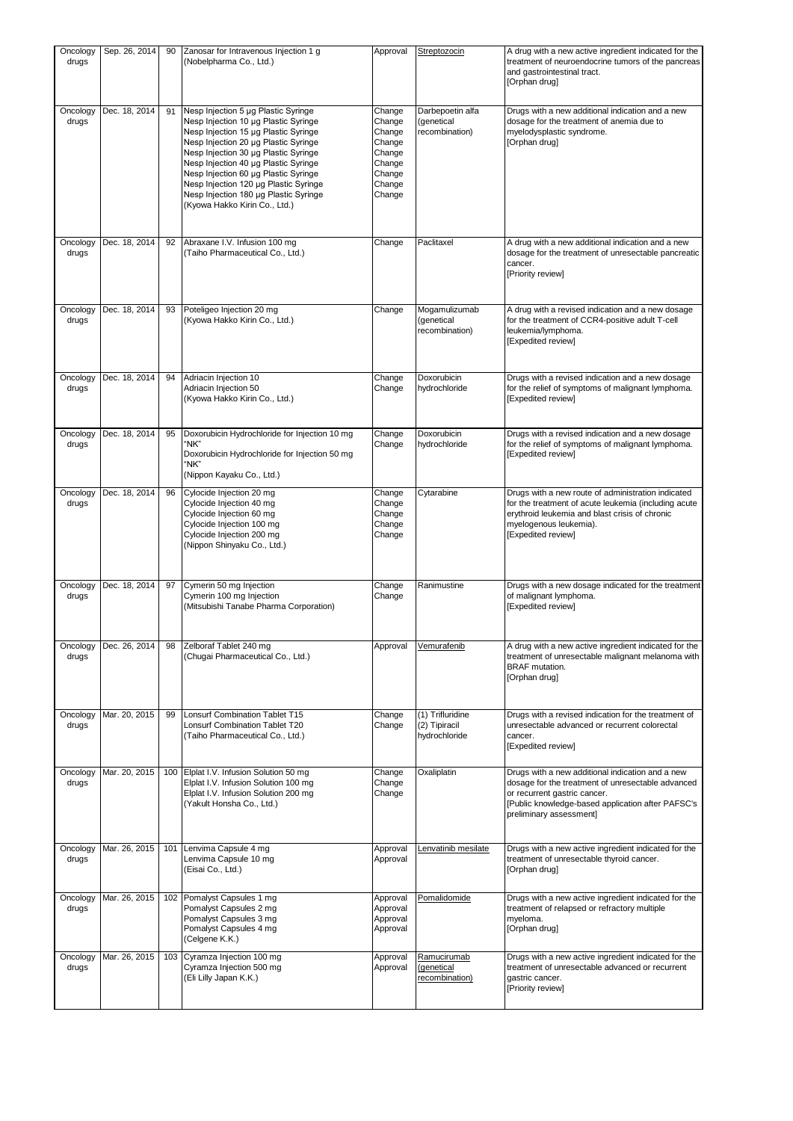| Oncology<br>drugs | Sep. 26, 2014 | 90  | Zanosar for Intravenous Injection 1 g<br>(Nobelpharma Co., Ltd.)                                                                                                                                                                                                                                                                                                                                       | Approval                                                                               | Streptozocin                                       | A drug with a new active ingredient indicated for the<br>treatment of neuroendocrine tumors of the pancreas<br>and gastrointestinal tract.<br>[Orphan drug]                                                           |
|-------------------|---------------|-----|--------------------------------------------------------------------------------------------------------------------------------------------------------------------------------------------------------------------------------------------------------------------------------------------------------------------------------------------------------------------------------------------------------|----------------------------------------------------------------------------------------|----------------------------------------------------|-----------------------------------------------------------------------------------------------------------------------------------------------------------------------------------------------------------------------|
| Oncology<br>drugs | Dec. 18, 2014 | 91  | Nesp Injection 5 µg Plastic Syringe<br>Nesp Injection 10 µg Plastic Syringe<br>Nesp Injection 15 µg Plastic Syringe<br>Nesp Injection 20 µg Plastic Syringe<br>Nesp Injection 30 µg Plastic Syringe<br>Nesp Injection 40 µg Plastic Syringe<br>Nesp Injection 60 µg Plastic Syringe<br>Nesp Injection 120 µg Plastic Syringe<br>Nesp Injection 180 µg Plastic Syringe<br>(Kyowa Hakko Kirin Co., Ltd.) | Change<br>Change<br>Change<br>Change<br>Change<br>Change<br>Change<br>Change<br>Change | Darbepoetin alfa<br>(genetical<br>recombination)   | Drugs with a new additional indication and a new<br>dosage for the treatment of anemia due to<br>myelodysplastic syndrome.<br>[Orphan drug]                                                                           |
| Oncology<br>drugs | Dec. 18, 2014 | 92  | Abraxane I.V. Infusion 100 mg<br>(Taiho Pharmaceutical Co., Ltd.)                                                                                                                                                                                                                                                                                                                                      | Change                                                                                 | Paclitaxel                                         | A drug with a new additional indication and a new<br>dosage for the treatment of unresectable pancreatic<br>cancer.<br>[Priority review]                                                                              |
| Oncology<br>drugs | Dec. 18, 2014 | 93  | Poteligeo Injection 20 mg<br>(Kyowa Hakko Kirin Co., Ltd.)                                                                                                                                                                                                                                                                                                                                             | Change                                                                                 | Mogamulizumab<br>(genetical<br>recombination)      | A drug with a revised indication and a new dosage<br>for the treatment of CCR4-positive adult T-cell<br>leukemia/lymphoma.<br>[Expedited review]                                                                      |
| Oncology<br>drugs | Dec. 18, 2014 | 94  | Adriacin Injection 10<br>Adriacin Injection 50<br>(Kyowa Hakko Kirin Co., Ltd.)                                                                                                                                                                                                                                                                                                                        | Change<br>Change                                                                       | Doxorubicin<br>hydrochloride                       | Drugs with a revised indication and a new dosage<br>for the relief of symptoms of malignant lymphoma.<br>[Expedited review]                                                                                           |
| Oncology<br>drugs | Dec. 18, 2014 | 95  | Doxorubicin Hydrochloride for Injection 10 mg<br>"NK"<br>Doxorubicin Hydrochloride for Injection 50 mg<br>"NK"<br>(Nippon Kayaku Co., Ltd.)                                                                                                                                                                                                                                                            | Change<br>Change                                                                       | Doxorubicin<br>hydrochloride                       | Drugs with a revised indication and a new dosage<br>for the relief of symptoms of malignant lymphoma.<br>[Expedited review]                                                                                           |
| Oncology<br>drugs | Dec. 18, 2014 | 96  | Cylocide Injection 20 mg<br>Cylocide Injection 40 mg<br>Cylocide Injection 60 mg<br>Cylocide Injection 100 mg<br>Cylocide Injection 200 mg<br>(Nippon Shinyaku Co., Ltd.)                                                                                                                                                                                                                              | Change<br>Change<br>Change<br>Change<br>Change                                         | Cytarabine                                         | Drugs with a new route of administration indicated<br>for the treatment of acute leukemia (including acute<br>erythroid leukemia and blast crisis of chronic<br>myelogenous leukemia).<br>[Expedited review]          |
| Oncology<br>drugs | Dec. 18, 2014 | 97  | Cymerin 50 mg Injection<br>Cymerin 100 mg Injection<br>(Mitsubishi Tanabe Pharma Corporation)                                                                                                                                                                                                                                                                                                          | Change<br>Change                                                                       | Ranimustine                                        | Drugs with a new dosage indicated for the treatment<br>of malignant lymphoma.<br>[Expedited review]                                                                                                                   |
| Oncology<br>drugs | Dec. 26, 2014 |     | Zelboraf Tablet 240 mg<br>(Chugai Pharmaceutical Co., Ltd.)                                                                                                                                                                                                                                                                                                                                            | Approval                                                                               | Vemuratenib                                        | A drug with a new active ingredient indicated for the<br>treatment of unresectable malignant melanoma with<br><b>BRAF</b> mutation.<br>[Orphan drug]                                                                  |
| Oncology<br>drugs | Mar. 20, 2015 | 99  | Lonsurf Combination Tablet T15<br>Lonsurf Combination Tablet T20<br>(Taiho Pharmaceutical Co., Ltd.)                                                                                                                                                                                                                                                                                                   | Change<br>Change                                                                       | (1) Trifluridine<br>(2) Tipiracil<br>hydrochloride | Drugs with a revised indication for the treatment of<br>unresectable advanced or recurrent colorectal<br>cancer.<br>[Expedited review]                                                                                |
| Oncology<br>drugs | Mar. 20, 2015 | 100 | Elplat I.V. Infusion Solution 50 mg<br>Elplat I.V. Infusion Solution 100 mg<br>Elplat I.V. Infusion Solution 200 mg<br>(Yakult Honsha Co., Ltd.)                                                                                                                                                                                                                                                       | Change<br>Change<br>Change                                                             | Oxaliplatin                                        | Drugs with a new additional indication and a new<br>dosage for the treatment of unresectable advanced<br>or recurrent gastric cancer.<br>[Public knowledge-based application after PAFSC's<br>preliminary assessment] |
| Oncology<br>drugs | Mar. 26, 2015 | 101 | Lenvima Capsule 4 mg<br>Lenvima Capsule 10 mg<br>(Eisai Co., Ltd.)                                                                                                                                                                                                                                                                                                                                     | Approval<br>Approval                                                                   | Lenvatinib mesilate                                | Drugs with a new active ingredient indicated for the<br>treatment of unresectable thyroid cancer.<br>[Orphan drug]                                                                                                    |
| Oncology<br>drugs | Mar. 26, 2015 | 102 | Pomalyst Capsules 1 mg<br>Pomalyst Capsules 2 mg<br>Pomalyst Capsules 3 mg<br>Pomalyst Capsules 4 mg<br>(Celgene K.K.)                                                                                                                                                                                                                                                                                 | Approval<br>Approval<br>Approval<br>Approval                                           | Pomalidomide                                       | Drugs with a new active ingredient indicated for the<br>treatment of relapsed or refractory multiple<br>myeloma.<br>[Orphan drug]                                                                                     |
| Oncology<br>drugs | Mar. 26, 2015 | 103 | Cyramza Injection 100 mg<br>Cyramza Injection 500 mg<br>(Eli Lilly Japan K.K.)                                                                                                                                                                                                                                                                                                                         | Approval<br>Approval                                                                   | Ramucirumab<br>(genetical<br>recombination)        | Drugs with a new active ingredient indicated for the<br>treatment of unresectable advanced or recurrent<br>gastric cancer.<br>[Priority review]                                                                       |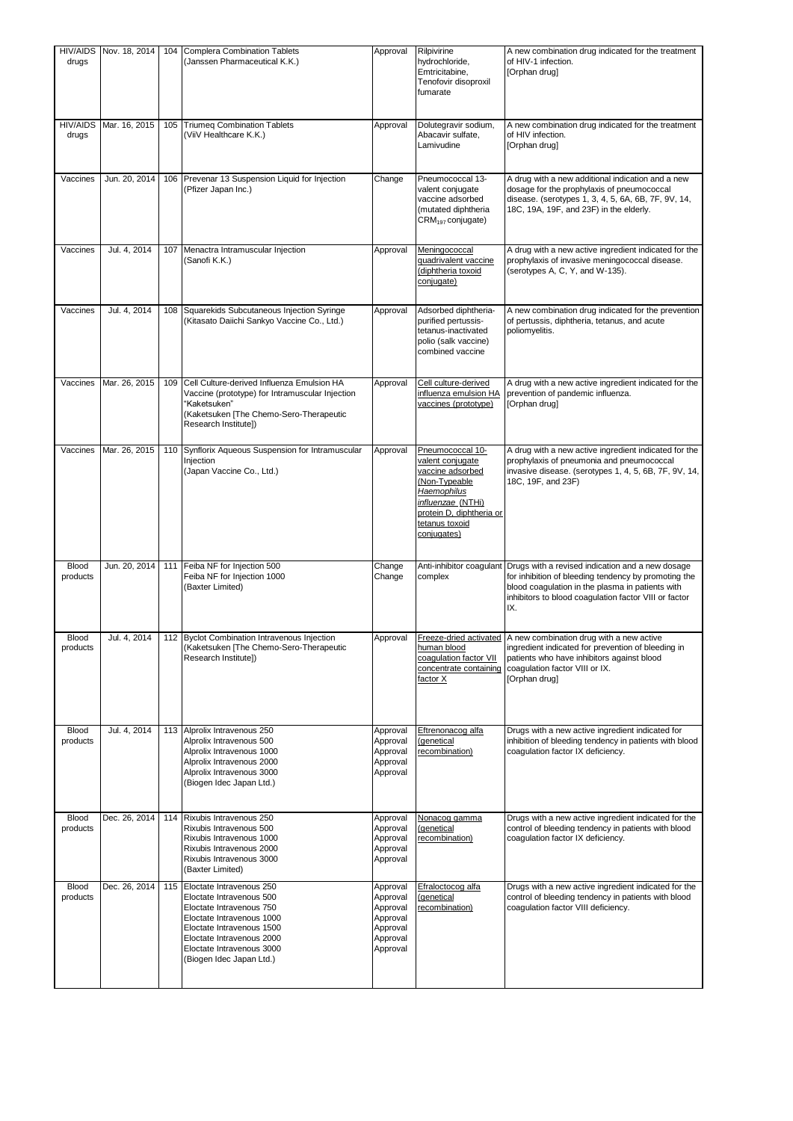| drugs                    | HIV/AIDS Nov. 18, 2014 | 104 | <b>Complera Combination Tablets</b><br>(Janssen Pharmaceutical K.K.)                                                                                                                                                             | Approval                                                                         | Rilpivirine<br>hydrochloride,<br>Emtricitabine,<br>Tenofovir disoproxil<br>fumarate                                                                                        | A new combination drug indicated for the treatment<br>of HIV-1 infection.<br>[Orphan drug]                                                                                                                                                            |
|--------------------------|------------------------|-----|----------------------------------------------------------------------------------------------------------------------------------------------------------------------------------------------------------------------------------|----------------------------------------------------------------------------------|----------------------------------------------------------------------------------------------------------------------------------------------------------------------------|-------------------------------------------------------------------------------------------------------------------------------------------------------------------------------------------------------------------------------------------------------|
| <b>HIV/AIDS</b><br>drugs | Mar. 16, 2015          | 105 | <b>Triumeq Combination Tablets</b><br>(ViiV Healthcare K.K.)                                                                                                                                                                     | Approval                                                                         | Dolutegravir sodium,<br>Abacavir sulfate,<br>Lamivudine                                                                                                                    | A new combination drug indicated for the treatment<br>of HIV infection.<br>[Orphan drug]                                                                                                                                                              |
| Vaccines                 | Jun. 20, 2014          | 106 | Prevenar 13 Suspension Liquid for Injection<br>(Pfizer Japan Inc.)                                                                                                                                                               | Change                                                                           | Pneumococcal 13-<br>valent conjugate<br>vaccine adsorbed<br>(mutated diphtheria<br>CRM <sub>197</sub> conjugate)                                                           | A drug with a new additional indication and a new<br>dosage for the prophylaxis of pneumococcal<br>disease. (serotypes 1, 3, 4, 5, 6A, 6B, 7F, 9V, 14,<br>18C, 19A, 19F, and 23F) in the elderly.                                                     |
| Vaccines                 | Jul. 4, 2014           | 107 | Menactra Intramuscular Injection<br>(Sanofi K.K.)                                                                                                                                                                                | Approval                                                                         | Meningococcal<br>quadrivalent vaccine<br>(diphtheria toxoid<br>conjugate)                                                                                                  | A drug with a new active ingredient indicated for the<br>prophylaxis of invasive meningococcal disease.<br>(serotypes A, C, Y, and W-135).                                                                                                            |
| Vaccines                 | Jul. 4, 2014           | 108 | Squarekids Subcutaneous Injection Syringe<br>(Kitasato Daiichi Sankyo Vaccine Co., Ltd.)                                                                                                                                         | Approval                                                                         | Adsorbed diphtheria-<br>purified pertussis-<br>tetanus-inactivated<br>polio (salk vaccine)<br>combined vaccine                                                             | A new combination drug indicated for the prevention<br>of pertussis, diphtheria, tetanus, and acute<br>poliomyelitis.                                                                                                                                 |
| Vaccines                 | Mar. 26, 2015          | 109 | Cell Culture-derived Influenza Emulsion HA<br>Vaccine (prototype) for Intramuscular Injection<br>"Kaketsuken"<br>(Kaketsuken [The Chemo-Sero-Therapeutic<br>Research Institute])                                                 | Approval                                                                         | Cell culture-derived<br>influenza emulsion HA<br>vaccines (prototype)                                                                                                      | A drug with a new active ingredient indicated for the<br>prevention of pandemic influenza.<br>[Orphan drug]                                                                                                                                           |
| Vaccines                 | Mar. 26, 2015          | 110 | Synflorix Aqueous Suspension for Intramuscular<br>Injection<br>(Japan Vaccine Co., Ltd.)                                                                                                                                         | Approval                                                                         | Pneumococcal 10-<br>valent conjugate<br>vaccine adsorbed<br>(Non-Typeable<br>Haemophilus<br>influenzae (NTHi)<br>protein D, diphtheria or<br>tetanus toxoid<br>conjugates) | A drug with a new active ingredient indicated for the<br>prophylaxis of pneumonia and pneumococcal<br>invasive disease. (serotypes 1, 4, 5, 6B, 7F, 9V, 14,<br>18C, 19F, and 23F)                                                                     |
| <b>Blood</b><br>products | Jun. 20, 2014          | 111 | Feiba NF for Injection 500<br>Feiba NF for Injection 1000<br>(Baxter Limited)                                                                                                                                                    | Change<br>Change                                                                 | complex                                                                                                                                                                    | Anti-inhibitor coagulant Drugs with a revised indication and a new dosage<br>for inhibition of bleeding tendency by promoting the<br>blood coaqulation in the plasma in patients with<br>inhibitors to blood coagulation factor VIII or factor<br>IX. |
| <b>Blood</b><br>products | Jul. 4. 2014           |     | 112 Byclot Combination Intravenous Injection<br>(Kaketsuken [The Chemo-Sero-Therapeutic<br>Research Institute])                                                                                                                  | Approval                                                                         | human blood<br>coaqulation factor VII<br>concentrate containing<br>factor X                                                                                                | Freeze-dried activated   A new combination drug with a new active<br>ingredient indicated for prevention of bleeding in<br>patients who have inhibitors against blood<br>coaqulation factor VIII or IX.<br>[Orphan drug]                              |
| <b>Blood</b><br>products | Jul. 4, 2014           | 113 | Alprolix Intravenous 250<br>Alprolix Intravenous 500<br>Alprolix Intravenous 1000<br>Alprolix Intravenous 2000<br>Alprolix Intravenous 3000<br>(Biogen Idec Japan Ltd.)                                                          | Approval<br>Approval<br>Approval<br>Approval<br>Approval                         | Eftrenonacog alfa<br>(genetical<br>recombination)                                                                                                                          | Drugs with a new active ingredient indicated for<br>inhibition of bleeding tendency in patients with blood<br>coagulation factor IX deficiency.                                                                                                       |
| Blood<br>products        | Dec. 26, 2014          | 114 | Rixubis Intravenous 250<br>Rixubis Intravenous 500<br>Rixubis Intravenous 1000<br>Rixubis Intravenous 2000<br>Rixubis Intravenous 3000<br>(Baxter Limited)                                                                       | Approval<br>Approval<br>Approval<br>Approval<br>Approval                         | Nonacog gamma<br>(genetical<br>recombination)                                                                                                                              | Drugs with a new active ingredient indicated for the<br>control of bleeding tendency in patients with blood<br>coagulation factor IX deficiency.                                                                                                      |
| <b>Blood</b><br>products | Dec. 26, 2014          | 115 | Eloctate Intravenous 250<br>Eloctate Intravenous 500<br>Eloctate Intravenous 750<br>Eloctate Intravenous 1000<br>Eloctate Intravenous 1500<br>Eloctate Intravenous 2000<br>Eloctate Intravenous 3000<br>(Biogen Idec Japan Ltd.) | Approval<br>Approval<br>Approval<br>Approval<br>Approval<br>Approval<br>Approval | Efraloctocog alfa<br>(genetical<br>recombination)                                                                                                                          | Drugs with a new active ingredient indicated for the<br>control of bleeding tendency in patients with blood<br>coagulation factor VIII deficiency.                                                                                                    |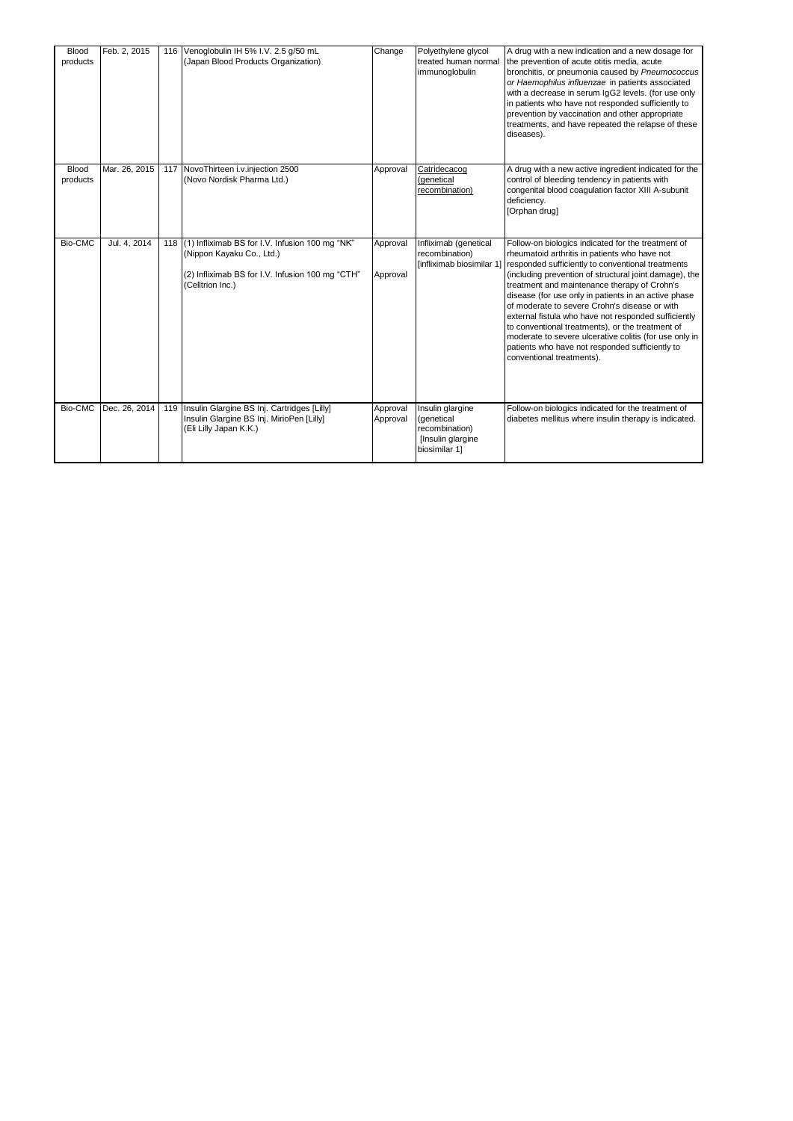| Blood<br>products        | Feb. 2, 2015  | 116 | Venoglobulin IH 5% I.V. 2.5 g/50 mL<br>(Japan Blood Products Organization)                                                                               | Change               | Polyethylene glycol<br>treated human normal<br>immunoqlobulin                          | A drug with a new indication and a new dosage for<br>the prevention of acute otitis media, acute<br>bronchitis, or pneumonia caused by Pneumococcus<br>or Haemophilus influenzae in patients associated<br>with a decrease in serum IgG2 levels. (for use only<br>in patients who have not responded sufficiently to<br>prevention by vaccination and other appropriate<br>treatments, and have repeated the relapse of these<br>diseases).                                                                                                                                                                                                                 |
|--------------------------|---------------|-----|----------------------------------------------------------------------------------------------------------------------------------------------------------|----------------------|----------------------------------------------------------------------------------------|-------------------------------------------------------------------------------------------------------------------------------------------------------------------------------------------------------------------------------------------------------------------------------------------------------------------------------------------------------------------------------------------------------------------------------------------------------------------------------------------------------------------------------------------------------------------------------------------------------------------------------------------------------------|
| <b>Blood</b><br>products | Mar. 26, 2015 |     | 117 NovoThirteen i.v.injection 2500<br>(Novo Nordisk Pharma Ltd.)                                                                                        | Approval             | Catridecacog<br>(genetical<br>recombination)                                           | A drug with a new active ingredient indicated for the<br>control of bleeding tendency in patients with<br>congenital blood coagulation factor XIII A-subunit<br>deficiency.<br>[Orphan drug]                                                                                                                                                                                                                                                                                                                                                                                                                                                                |
| Bio-CMC                  | Jul. 4, 2014  |     | 118 (1) Infliximab BS for I.V. Infusion 100 mg "NK"<br>(Nippon Kayaku Co., Ltd.)<br>(2) Infliximab BS for I.V. Infusion 100 mg "CTH"<br>(Celltrion Inc.) | Approval<br>Approval | Infliximab (genetical<br>recombination)                                                | Follow-on biologics indicated for the treatment of<br>rheumatoid arthritis in patients who have not<br>[infliximab biosimilar 1] responded sufficiently to conventional treatments<br>(including prevention of structural joint damage), the<br>treatment and maintenance therapy of Crohn's<br>disease (for use only in patients in an active phase<br>of moderate to severe Crohn's disease or with<br>external fistula who have not responded sufficiently<br>to conventional treatments), or the treatment of<br>moderate to severe ulcerative colitis (for use only in<br>patients who have not responded sufficiently to<br>conventional treatments). |
| Bio-CMC                  | Dec. 26, 2014 | 119 | Insulin Glargine BS Inj. Cartridges [Lilly]<br>Insulin Glargine BS Inj. MirioPen [Lilly]<br>(Eli Lilly Japan K.K.)                                       | Approval<br>Approval | Insulin glargine<br>(genetical<br>recombination)<br>[Insulin glargine<br>biosimilar 1] | Follow-on biologics indicated for the treatment of<br>diabetes mellitus where insulin therapy is indicated.                                                                                                                                                                                                                                                                                                                                                                                                                                                                                                                                                 |